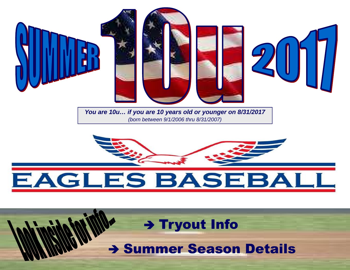

# EAGLES BASEBA

> Tryout Info

**> Summer Season Details**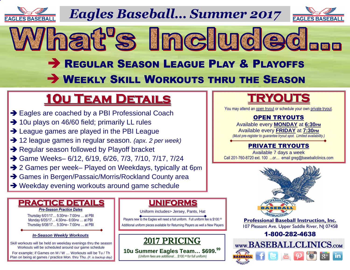

*Eagles Baseball… Summer 2017*





# **BEGULAR SEASON LEAGUE PLAY & PLAYOFFS WEEKLY SKILL WORKOUTS THRU THE SEASON**

# **10u Team Details**

- → Eagles are coached by a PBI Professional Coach<br>→ 10u plays on 46/60 field: primarily LL rules
- → 10u plays on 46/60 field; primarily LL rules<br>→ League games are played in the PBLLeag
- → League games are played in the PBI League<br>→ 12 league games in requier season (any 2 ne
- → 12 league games in regular season. (apx. 2 per week)<br>→ Requier season followed by Playoff bracket
- Regular season followed by Playoff bracket<br>
A Game Weeks 6/12 6/19 6/26 7/3 7/10 7
- → Game Weeks– 6/12, 6/19, 6/26, 7/3, 7/10, 7/17, 7/24
- → 2 Games per week– Played on Weekdays, typically at 6pm<br>→ Games in Bergen/Passaic/Morris/Rockland County area
- → Games in Bergen/Passaic/Morris/Rockland County area<br>→ Weekday evening workouts around game schedule
- Weekday evening workouts around game schedule

### **PRACTICE DETAILS**

*Pre-Season Practice Dates*

Thursday 6/01/17… 5:30PM– 7:00PM … at PBI Monday 6/05/17… 4:30PM– 6:00PM … at PBI Thursday 6/08/17… 5:30PM– 7:00PM … at PBI

#### **In-Season Weekly Workouts**

Skill workouts will be held on weekday evenings thru the season Workouts will be scheduled around our game schedule

 For example; if Games on M / W … Workouts will be Tu / Th Plan on being at games / practice Mon. thru Thu. (F. is backup day)

### **UNIFORMS**

Uniform includes> Jersey, Pants, Hat

Players new to the Eagles will need a full uniform. Full uniform fee is \$100.00 Additional uniform pieces available for Returning Players as well a New Players

 $\left| \begin{array}{c} 2017 \text{ PRICING} \\ \text{www.BASEBALLCLINICS.com} \end{array} \right|$ 

#### **10u Summer Eagles Team… \$699.<sup>99</sup>**  *(Uniform fees are additional… \$100.00 for full uniform)*

## **TRYOUTS**

You may attend an open tryout or schedule your own private tryout.

### OPEN TRYOUTS

 Available every **MONDAY** at **6:30PM** Available every **FRIDAY** at **7:30PM** *(Must pre-register to guarantee tryout spot. Limited availability.)* 

### PRIVATE TRYOUTS

 Available 7 days a weekCall 201-760-8720 ext. 100 ...or… email greg@baseballclinics.com



**Professional Baseball Instruction, Inc.**107 Pleasant Ave. Upper Saddle River, NJ 07458